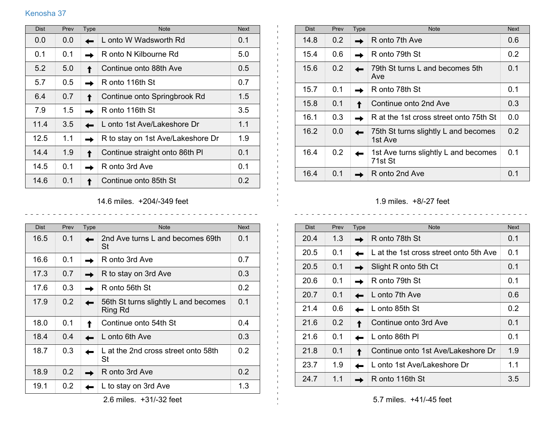## Kenosha 37

| <b>Dist</b> | Prev          | Type | <b>Note</b>                       | <b>Next</b> |
|-------------|---------------|------|-----------------------------------|-------------|
| 0.0         | 0.0           |      | L onto W Wadsworth Rd             | 0.1         |
| 0.1         | 0.1           |      | R onto N Kilbourne Rd             | 5.0         |
| 5.2         | 5.0           |      | Continue onto 88th Ave            | 0.5         |
| 5.7         | $0.5^{\circ}$ |      | R onto 116th St                   | 0.7         |
| 6.4         | 0.7           |      | Continue onto Springbrook Rd      | 1.5         |
| 7.9         | 1.5           |      | R onto 116th St                   | 3.5         |
| 11.4        | 3.5           |      | L onto 1st Ave/Lakeshore Dr       | 1.1         |
| 12.5        | 1.1           |      | R to stay on 1st Ave/Lakeshore Dr | 1.9         |
| 14.4        | 1.9           |      | Continue straight onto 86th PI    | 0.1         |
| 14.5        | 0.1           |      | R onto 3rd Ave                    | 0.1         |
| 14.6        | 0.1           |      | Continue onto 85th St             | 0.2         |

| <b>Dist</b> | Prev | Type | <b>Note</b>                                     | <b>Next</b> |
|-------------|------|------|-------------------------------------------------|-------------|
| 14.8        | 0.2  |      | R onto 7th Ave                                  | 0.6         |
| 15.4        | 0.6  |      | R onto 79th St                                  | 0.2         |
| 15.6        | 0.2  |      | 79th St turns L and becomes 5th<br>Ave          | 0.1         |
| 15.7        | 0.1  |      | R onto 78th St                                  | 0.1         |
| 15.8        | 0.1  |      | Continue onto 2nd Ave                           | 0.3         |
| 16.1        | 0.3  |      | R at the 1st cross street onto 75th St          | 0.0         |
| 16.2        | 0.0  |      | 75th St turns slightly L and becomes<br>1st Ave | 0.2         |
| 16.4        | 0.2  |      | 1st Ave turns slightly L and becomes<br>71st St | 0.1         |
| 16.4        | 0.1  |      | R onto 2nd Ave                                  | 0.1         |

## 1.9 miles. +8/-27 feet

 $\omega_{\alpha}=\omega_{\alpha}=\omega_{\alpha}=\omega_{\alpha}=\omega_{\alpha}=\omega_{\alpha}=\omega_{\alpha}=\omega_{\alpha}=\omega_{\alpha}=\omega_{\alpha}=\omega_{\alpha}=\omega_{\alpha}=\omega_{\alpha}=\omega_{\alpha}=\omega_{\alpha}=\omega_{\alpha}=\omega_{\alpha}=\omega_{\alpha}=\omega_{\alpha}=\omega_{\alpha}=\omega_{\alpha}=\omega_{\alpha}=\omega_{\alpha}=\omega_{\alpha}=\omega_{\alpha}=\omega_{\alpha}=\omega_{\alpha}=\omega_{\alpha}=\omega_{\alpha}=\omega_{\alpha}=\omega_{\alpha}=\omega_{\alpha}=\omega_{\alpha}=\omega_{\alpha}=\omega_{\alpha}=\omega_{\alpha}=\omega_{\$ 

| <b>Dist</b> | Prev | <b>Type</b> | <b>Note</b>                            | <b>Next</b>      |
|-------------|------|-------------|----------------------------------------|------------------|
| 20.4        | 1.3  |             | R onto 78th St                         | 0.1              |
| 20.5        | 0.1  |             | L at the 1st cross street onto 5th Ave | 0.1              |
| 20.5        | 0.1  |             | Slight R onto 5th Ct                   | 0.1              |
| 20.6        | 0.1  |             | R onto 79th St                         | 0.1              |
| 20.7        | 0.1  |             | L onto 7th Ave                         | 0.6              |
| 21.4        | 0.6  |             | L onto 85th St                         | 0.2 <sub>0</sub> |
| 21.6        | 0.2  |             | Continue onto 3rd Ave                  | 0.1              |
| 21.6        | 0.1  |             | L onto 86th PI                         | 0.1              |
| 21.8        | 0.1  |             | Continue onto 1st Ave/Lakeshore Dr     | 1.9              |
| 23.7        | 1.9  |             | L onto 1st Ave/Lakeshore Dr            | 1.1              |
| 24.7        | 1.1  |             | R onto 116th St                        | 3.5              |

## 14.6 miles. +204/-349 feet

<u>. . . . . . . . . . . . . .</u>

 $\mathbf{L}$ 

<u>. . . . . . . . . . . . . . .</u>

| <b>Dist</b> | Prev | <b>Type</b> | <b>Note</b>                                     | <b>Next</b> |
|-------------|------|-------------|-------------------------------------------------|-------------|
| 16.5        | 0.1  |             | 2nd Ave turns L and becomes 69th<br>St          | 0.1         |
| 16.6        | 0.1  |             | R onto 3rd Ave                                  | 0.7         |
| 17.3        | 0.7  |             | R to stay on 3rd Ave                            | 0.3         |
| 17.6        | 0.3  |             | R onto 56th St                                  | 0.2         |
| 17.9        | 0.2  |             | 56th St turns slightly L and becomes<br>Ring Rd | 0.1         |
| 18.0        | 0.1  |             | Continue onto 54th St                           | 0.4         |
| 18.4        | 0.4  |             | L onto 6th Ave                                  | 0.3         |
| 18.7        | 0.3  |             | L at the 2nd cross street onto 58th<br>St       | 0.2         |
| 18.9        | 0.2  |             | R onto 3rd Ave                                  | 0.2         |
| 19.1        | 0.2  |             | L to stay on 3rd Ave                            | 1.3         |

2.6 miles. +31/-32 feet